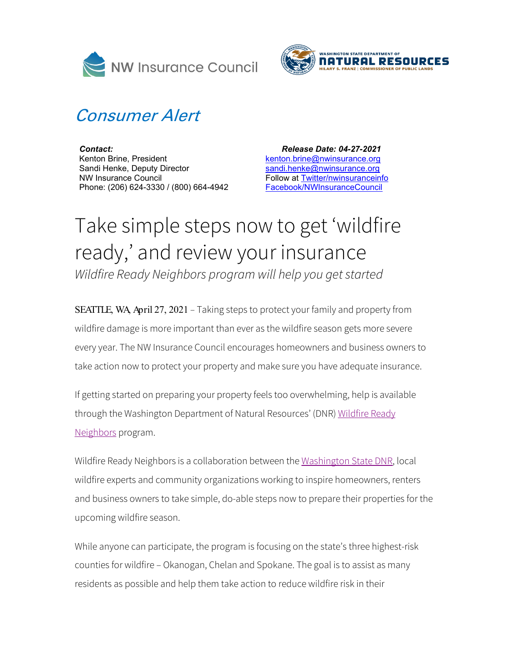



## Consumer Alert

*Contact:* Kenton Brine, President Sandi Henke, Deputy Director NW Insurance Council Phone: (206) 624-3330 / (800) 664-4942

 *Release Date: 04-27-2021* [kenton.brine@nwinsurance.org](mailto:kenton.brine@nwinsurance.org) [sandi.henke@nwinsurance.org](mailto:sandi.henke@nwinsurance.org) Follow at [Twitter/nwinsuranceinfo](http://twitter.com/#!/nwinsuranceinfo) [Facebook/NWInsuranceCouncil](https://www.facebook.com/NWInsuranceCouncil)

## Take simple steps now to get 'wildfire ready, ' and review your insurance *Wildfire Ready Neighbors program will help you get started*

SEATTLE, WA, April 27, 2021 *–* Taking steps to protect your family and property from wildfire damage is more important than ever as the wildfire season gets more severe every year. The NW Insurance Council encourages homeowners and business owners to take action now to protect your property and make sure you have adequate insurance.

If getting started on preparing your property feels too overwhelming, help is available through the Washington Department of Natural Resources' (DNR) Wildfire Ready [Neighbors](https://wildfireready.dnr.wa.gov/) program.

Wildfire Ready Neighbors is a collaboration between the [Washington State DNR,](https://www.dnr.wa.gov/) local wildfire experts and community organizations working to inspire homeowners, renters and business owners to take simple, do-able steps now to prepare their properties for the upcoming wildfire season.

While anyone can participate, the program is focusing on the state's three highest-risk counties for wildfire – Okanogan, Chelan and Spokane. The goal is to assist as many residents as possible and help them take action to reduce wildfire risk in their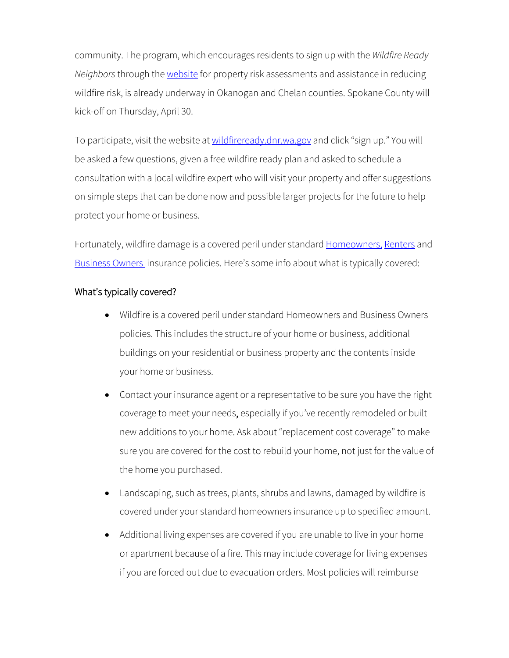community. The program, which encourages residents to sign up with the *Wildfire Ready Neighbors* through th[e website](http://www.wildfireready.com/) for property risk assessments and assistance in reducing wildfire risk, is already underway in Okanogan and Chelan counties. Spokane County will kick-off on Thursday, April 30.

To participate, visit the website at [wildfireready.dnr.wa.gov](https://wildfireready.dnr.wa.gov/) and click "sign up." You will be asked a few questions, given a free wildfire ready plan and asked to schedule a consultation with a local wildfire expert who will visit your property and offer suggestions on simple steps that can be done now and possible larger projects for the future to help protect your home or business.

Fortunately, wildfire damage is a covered peril under standard [Homeowners,](http://www.nwinsurance.org/in_home.htm) [Renters](http://www.nwinsurance.org/in_rent.htm) and [Business Owners](http://www.nwinsurance.org/in_hbus.htm) insurance policies. Here's some info about what is typically covered:

## What's typically covered?

- Wildfire is a covered peril under standard Homeowners and Business Owners policies. This includes the structure of your home or business, additional buildings on your residential or business property and the contents inside your home or business.
- Contact your insurance agent or a representative to be sure you have the right coverage to meet your needs, especially if you've recently remodeled or built new additions to your home. Ask about "replacement cost coverage" to make sure you are covered for the cost to rebuild your home, not just for the value of the home you purchased.
- Landscaping, such as trees, plants, shrubs and lawns, damaged by wildfire is covered under your standard homeowners insurance up to specified amount.
- Additional living expenses are covered if you are unable to live in your home or apartment because of a fire. This may include coverage for living expenses if you are forced out due to evacuation orders. Most policies will reimburse